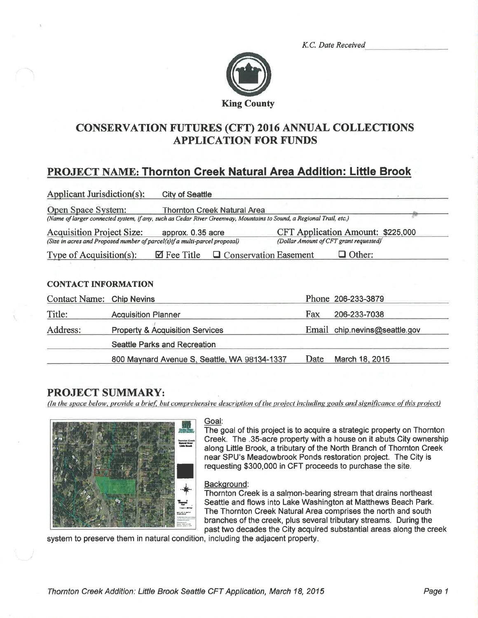K.C. Date Received



# **CONSERVATION FUTURES (CFT) 2016 ANNUAL COLLECTIONS APPLICATION FOR FUNDS**

# **PROJECT NAME: Thornton Creek Natural Area Addition: Little Brook**

| <b>Applicant Jurisdiction(s):</b>                                                                              |                                            | <b>City of Seattle</b> |                                                                                                                                                    |  |                                                                                    |                    |
|----------------------------------------------------------------------------------------------------------------|--------------------------------------------|------------------------|----------------------------------------------------------------------------------------------------------------------------------------------------|--|------------------------------------------------------------------------------------|--------------------|
| Open Space System:                                                                                             |                                            |                        | Thornton Creek Natural Area<br>(Name of larger connected system, if any, such as Cedar River Greenway, Mountains to Sound, a Regional Trail, etc.) |  |                                                                                    |                    |
| <b>Acquisition Project Size:</b><br>(Size in acres and Proposed number of parcel(s)if a multi-parcel proposal) |                                            |                        | approx. 0.35 acre                                                                                                                                  |  | <b>CFT Application Amount: \$225,000</b><br>(Dollar Amount of CFT grant requested) |                    |
| Type of Acquisition(s):                                                                                        |                                            | $\boxtimes$ Fee Title  | □ Conservation Easement                                                                                                                            |  |                                                                                    | Other:             |
|                                                                                                                |                                            |                        |                                                                                                                                                    |  |                                                                                    |                    |
| <b>CONTACT INFORMATION</b>                                                                                     |                                            |                        |                                                                                                                                                    |  |                                                                                    |                    |
| Contact Name: Chip Nevins                                                                                      |                                            |                        |                                                                                                                                                    |  |                                                                                    | Phone 206-233-3879 |
| Title:                                                                                                         | <b>Acquisition Planner</b>                 |                        |                                                                                                                                                    |  | Fax                                                                                | 206-233-7038       |
| Address:                                                                                                       | <b>Property &amp; Acquisition Services</b> |                        |                                                                                                                                                    |  | Email chip.nevins@seattle.gov                                                      |                    |
|                                                                                                                | <b>Seattle Parks and Recreation</b>        |                        |                                                                                                                                                    |  |                                                                                    |                    |
|                                                                                                                |                                            |                        | 800 Maynard Avenue S, Seattle, WA 98134-1337                                                                                                       |  | Date                                                                               | March 18, 2015     |

## **PROJECT SUMMARY:**

(In the space below, provide a brief, but comprehensive description of the project including goals and significance of this project)



#### Goal:

The goal of this project is to acquire a strategic property on Thornton Creek. The .35-acre property with a house on it abuts City ownership along Little Brook, a tributary of the North Branch of Thornton Creek near SPU's Meadowbrook Ponds restoration project. The City is requesting \$300,000 in CFT proceeds to purchase the site.

#### Background:

Thornton Creek is a salmon-bearing stream that drains northeast Seattle and flows into Lake Washington at Matthews Beach Park. The Thornton Creek Natural Area comprises the north and south branches of the creek, plus several tributary streams. During the past two decades the City acquired substantial areas along the creek

system to preserve them in natural condition, including the adjacent property.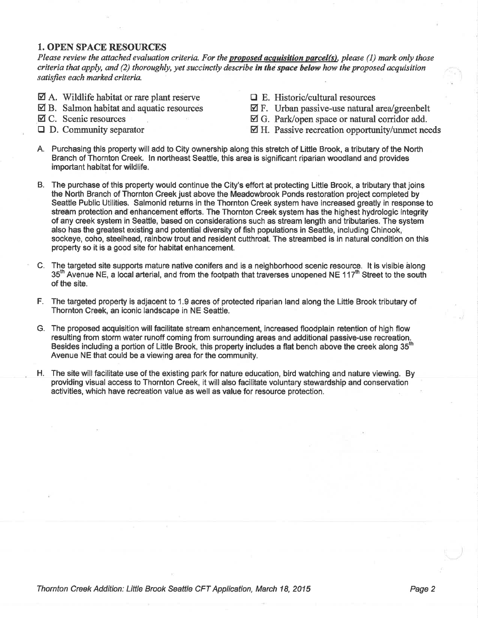#### 1. OPEN SPACE RESOURCES

Please review the attached evaluation criteria. For the **proposed acquisition parcel(s)**, please (1) mark only those criteria that apply, and  $(2)$  thoroughly, yet succinctly describe in the space below how the proposed acquisition satisfies each marked criteria.

- $\boxtimes$  A. Wildlife habitat or rare plant reserve
- $\boxtimes$  B. Salmon habitat and aquatic resources
- $\boxtimes$  C. Scenic resources
- $\Box$  D. Community separator
- $\Box$  E. Historic/cultural resources
- $\boxtimes$  F. Urban passive-use natural area/greenbelt
- $\boxtimes$  G. Park/open space or natural corridor add.
- $\boxtimes$  H. Passive recreation opportunity/unmet needs
- A. Purchasing this property will add to City ownership along this stretch of Little Brook, a tributary of the North Branch of Thornton Creek, ln northeast Seattle, this area is significant riparian woodland and provides important habitat for wildlife.
- B. The purchase of this property would continue the City's effort at protecting Little Brook, a tributary that joins the North Branch of Thornton Creek just above the Meadowbrook Ponds restoration project completed by Seattle Public Utilities. Salmonid returns in the Thornton Creek system have increased greatly in response to streàm protection and enhancement efforts. The Thornton Creek system has the highest hydrologic integrity of any creek system in Seattle, based on considerations such as stream length and tributaríes. The system also has the greatest existing and potential diversity of fish populations in Seattle, including Chinook, sockeye, coho, steelhead, rainbow trout and resident cutthroat. The streambed is in natural condition on this property so it is a good site for habitat enhancement.
- C. The targeted site supports mature native conifers and is a neighborhood scenic resource. It is visible along 35<sup>th</sup> Avenue NE, a local arterial, and from the footpath that traverses unopened NE 117<sup>th</sup> Street to the south of the site.
- F. The targeted property is adjacent to 1.9 acres of protected riparian land along the Little Brook tributary of Thornton Creek, an íconic landscape in NE Seattle.
- G. The proposed acquisition willfacilitate stream enhancement, increased floodplain retention of high flow resulting from storm water runoff coming from surrounding areas and additional passive-use recreation-Besides including a portion of Little Brook, this property includes a flat bench above the creek along 35<sup>th</sup> Avenue NE that could be a viewing area for the community.
- H. The site will facilitate use of the existing park for nature education, bird watching and nature viewing. By providing visual access to Thornton Creek, it will also facilitate voluntary stewardship and conservation activities, which have recreation value as well as value for resource protection,

Thornton Creek Addition: Little Brook Seattle CFT Application, March 18, 2015 **Page 2** Page 2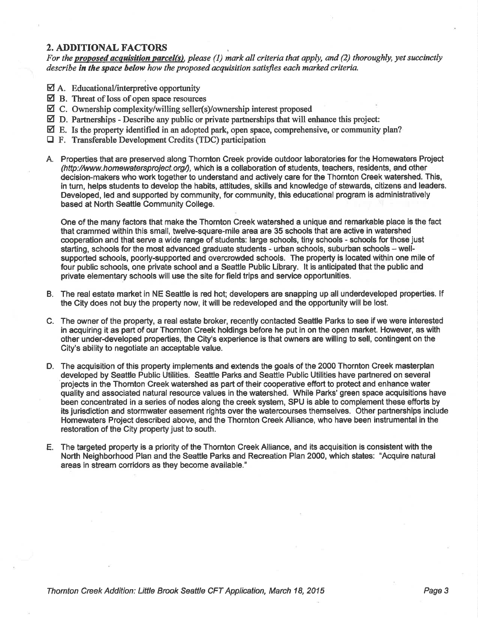### 2. ADDITIONAL FACTORS

For the **proposed acquisition parcel(s)**, please (1) mark all criteria that apply, and (2) thoroughly, yet succinctly describe in the space below how the proposed acquisition satisfies each marked criteria.

- $\boxtimes$  A. Educational/interpretive opportunity
- $\boxtimes$  B. Threat of loss of open space resources
- $\boxtimes$  C. Ownership complexity/willing seller(s)/ownership interest proposed
- $\boxtimes$  D. Partnerships Describe any public or private partnerships that will enhance this project:
- $\boxtimes$  E. Is the property identified in an adopted park, open space, comprehensive, or community plan?
- $\Box$  F. Transferable Development Credits (TDC) participation
- A. Properties that are preserved along Thornton Creek provide outdoor laboratories for the Homewaters Project (http://www.homewatersproject.org/), which is a collaboration of students, teachers, residents, and other decision-makers who work together to understand and actively care for the Thornton Creek watershed. This, in turn, helps students to develop the habits, attitudes, skills and knowledge of stewards, citizens and leaders. Developed, led and supported by community, for community, this educational program is administratively based at North Seattle Community College.

One of the many factors that make the Thornton Greek watershed a unique and remarkable place is the fact that crammed within this small, twelve-square-mile area are 35 schools that are active in watershed cooperation and that serve a wide range of students: large schools, tiny schools - schools for those just starting, schools for the most advanced graduate students - urban schools, suburban schools - wellsupported schools, poorly-supported and overcrowded schools. The property is located within one mile of four public schools, one private school and a Seattle Public Library. lt is anticipated that the public and private elementary schools will use the site for field trips and service opportunities.

- B. The real estate market in NE Seattle is red hot; developers are snapping up all underdeveloped properties. lf the City does not buy the property now, it will be redeveloped and the opportunity will be lost.
- C. The owner of the property, a real estate broker, recently contacted Seattle Parks to see if we were interested in acquiring it as part of our Thornton Creek holdings before he put in on the open market. However, as with other under-developed properties, the City's experience is that owners are willing to sell, contingent on the City's ability to negotiate an acceptable value.
- D. The acquisition of this property implements and extends the goals of the 2000 Thornton Creek masterplan developed by Seattle Public Utilities. Seattle Parks and Seattle Public Utilities have partnered on several projects in the Thornton Creek watershed as part of their cooperative effort to protect and enhance water quality and associated natural resource values in the watershed. While Parks' green space acquisitions have been concentrated in a series of nodes along the creek system, SPU is able to complement these efforts by its jurisdiction and stormwater easement rights over the watercourses themselves. Other partnerships include Homewaters Project described above, and the Thornton Creek Alliance, who have been instrumental in the restoration of the City property just to south.
- E. The targeted properly is a priority of the Thornton Creek Alliance, and its acquisition is consistent with the North Neighborhood Plan and the Seattle Parks and Recreation Plan 2000, which states: "Acquire natural areas in stream corridors as they become available."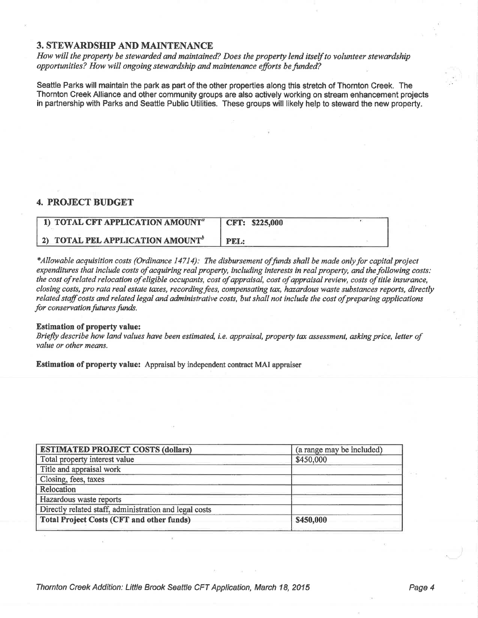### **3. STEWARDSHIP AND MAINTENANCE**

How will the property be stewarded and maintained? Does the property lend itself to volunteer stewardship opportunities? How will ongoing stewardship and maintenance efforts be funded?

Seattle Parks will maintain the park as part of the other properties along this stretch of Thornton Creek. The Thornton Creek Alliance and other community groups are also actively working on stream enhancement projects in partnership with Parks and Seattle Public Utilities. These groups will likely help to steward the new property.

## **4. PROJECT BUDGET**

| 1) TOTAL CFT APPLICATION AMOUNT <sup>a</sup> | <b>CFT: \$225,000</b> |  |
|----------------------------------------------|-----------------------|--|
| 2) TOTAL PEL APPLICATION AMOUNT <sup>b</sup> | <b>PEL:</b>           |  |

\*Allowable acquisition costs (Ordinance 14714): The disbursement of funds shall be made only for capital project expenditures that include costs of acquiring real property, including interests in real property, and the following costs: the cost of related relocation of eligible occupants, cost of appraisal, cost of appraisal review, costs of title insurance, closing costs, pro rata real estate taxes, recording fees, compensating tax, hazardous waste substances reports, directly related staff costs and related legal and administrative costs, but shall not include the cost of preparing applications for conservation futures funds.

#### **Estimation of property value:**

Briefly describe how land values have been estimated, i.e. appraisal, property tax assessment, asking price, letter of value or other means.

Estimation of property value: Appraisal by independent contract MAI appraiser

| <b>ESTIMATED PROJECT COSTS (dollars)</b>               | (a range may be included) |
|--------------------------------------------------------|---------------------------|
| Total property interest value                          | \$450,000                 |
| Title and appraisal work                               |                           |
| Closing, fees, taxes                                   |                           |
| Relocation                                             |                           |
| Hazardous waste reports                                |                           |
| Directly related staff, administration and legal costs |                           |
| <b>Total Project Costs (CFT and other funds)</b>       | \$450,000                 |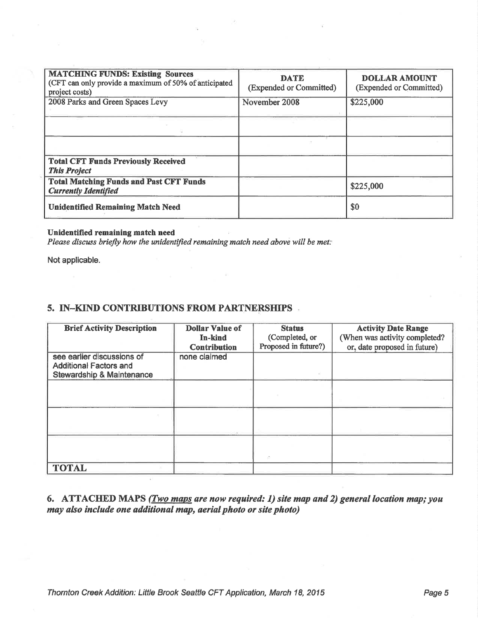| <b>MATCHING FUNDS: Existing Sources</b><br>(CFT can only provide a maximum of 50% of anticipated<br>project costs) | <b>DATE</b><br>(Expended or Committed) | <b>DOLLAR AMOUNT</b><br>(Expended or Committed) |
|--------------------------------------------------------------------------------------------------------------------|----------------------------------------|-------------------------------------------------|
| 2008 Parks and Green Spaces Levy                                                                                   | November 2008                          | \$225,000                                       |
|                                                                                                                    |                                        |                                                 |
|                                                                                                                    |                                        |                                                 |
| <b>Total CFT Funds Previously Received</b><br><b>This Project</b>                                                  |                                        |                                                 |
| <b>Total Matching Funds and Past CFT Funds</b><br><b>Currently Identified</b>                                      |                                        | \$225,000                                       |
| <b>Unidentified Remaining Match Need</b>                                                                           |                                        | \$0                                             |

## Unidentified remaining match need

Please discuss briefly how the unidentified remaining match need above will be met:

Not applicable.

## 5. IN-KIND CONTRIBUTIONS FROM PARTNERSHIPS

| <b>Brief Activity Description</b>                                                                   | <b>Dollar Value of</b><br>In-kind<br><b>Contribution</b> | <b>Status</b><br>(Completed, or<br>Proposed in future?) | <b>Activity Date Range</b><br>(When was activity completed?<br>or, date proposed in future) |
|-----------------------------------------------------------------------------------------------------|----------------------------------------------------------|---------------------------------------------------------|---------------------------------------------------------------------------------------------|
| see earlier discussions of<br><b>Additional Factors and</b><br><b>Stewardship &amp; Maintenance</b> | none claimed                                             |                                                         |                                                                                             |
|                                                                                                     |                                                          |                                                         |                                                                                             |
|                                                                                                     |                                                          |                                                         |                                                                                             |
|                                                                                                     |                                                          |                                                         |                                                                                             |
| <b>TOTAL</b>                                                                                        |                                                          |                                                         |                                                                                             |

6. ATTACHED MAPS (*Two maps are now required: 1) site map and 2) general location map; you* may also include one additional map, aerial photo or site photo)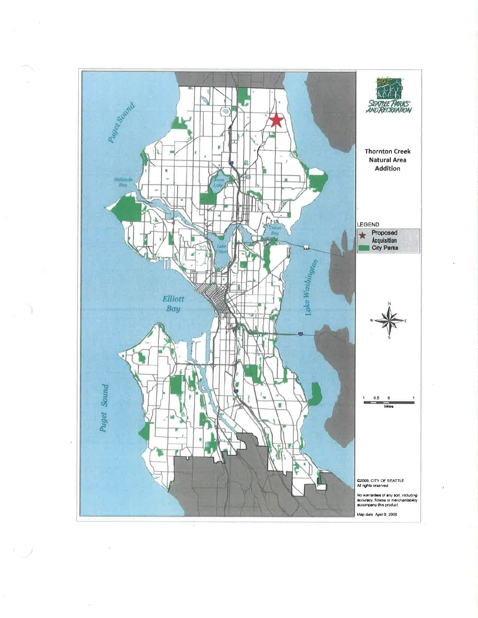

 $\cdot$   $\hspace{0.1cm}$   $\hspace{0.1cm}$